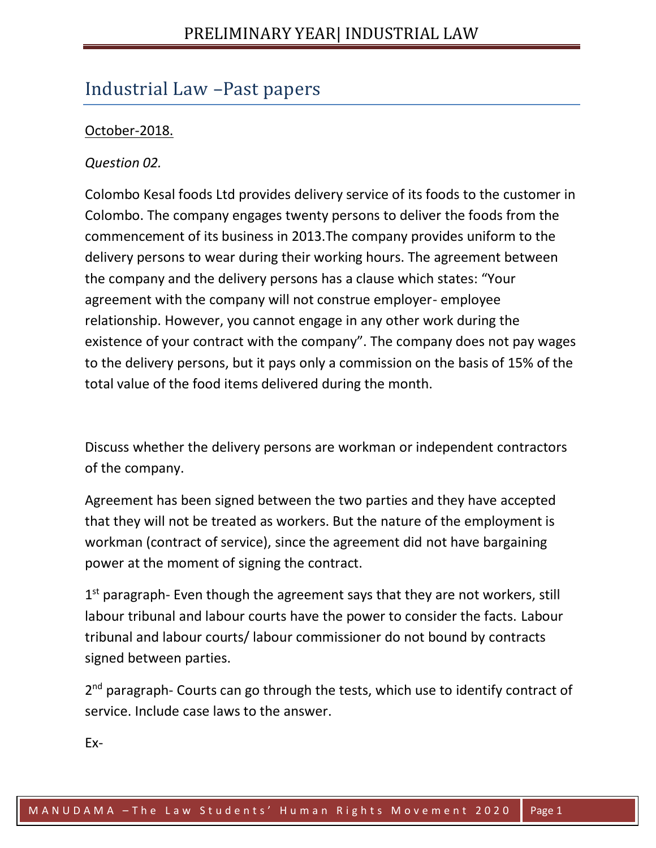# Industrial Law –Past papers

## October-2018.

### *Question 02.*

Colombo Kesal foods Ltd provides delivery service of its foods to the customer in Colombo. The company engages twenty persons to deliver the foods from the commencement of its business in 2013.The company provides uniform to the delivery persons to wear during their working hours. The agreement between the company and the delivery persons has a clause which states: "Your agreement with the company will not construe employer- employee relationship. However, you cannot engage in any other work during the existence of your contract with the company". The company does not pay wages to the delivery persons, but it pays only a commission on the basis of 15% of the total value of the food items delivered during the month.

Discuss whether the delivery persons are workman or independent contractors of the company.

Agreement has been signed between the two parties and they have accepted that they will not be treated as workers. But the nature of the employment is workman (contract of service), since the agreement did not have bargaining power at the moment of signing the contract.

1<sup>st</sup> paragraph- Even though the agreement says that they are not workers, still labour tribunal and labour courts have the power to consider the facts. Labour tribunal and labour courts/ labour commissioner do not bound by contracts signed between parties.

2<sup>nd</sup> paragraph- Courts can go through the tests, which use to identify contract of service. Include case laws to the answer.

Ex-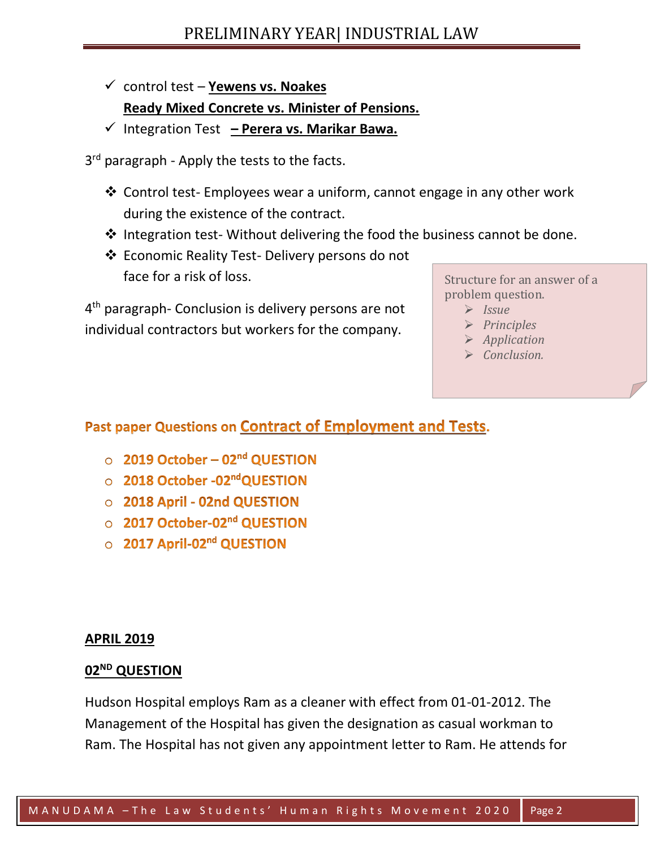- ✓ control test **Yewens vs. Noakes Ready Mixed Concrete vs. Minister of Pensions.**
- ✓ Integration Test **– Perera vs. Marikar Bawa.**
- 3<sup>rd</sup> paragraph Apply the tests to the facts.
	- ❖ Control test- Employees wear a uniform, cannot engage in any other work during the existence of the contract.
	- ❖ Integration test- Without delivering the food the business cannot be done.
	- ❖ Economic Reality Test- Delivery persons do not face for a risk of loss.

4<sup>th</sup> paragraph- Conclusion is delivery persons are not individual contractors but workers for the company.

Structure for an answer of a problem question.

- ➢ *Issue*
- ➢ *Principles*
- ➢ *Application*
- ➢ *Conclusion.*

## Past paper Questions on Contract of Employment and Tests.

- $\circ$  2019 October 02<sup>nd</sup> QUESTION
- 2018 October -02<sup>nd</sup>QUESTION
- O 2018 April 02nd QUESTION
- 2017 October-02<sup>nd</sup> QUESTION
- 2017 April-02<sup>nd</sup> QUESTION

### **APRIL 2019**

### **02ND QUESTION**

Hudson Hospital employs Ram as a cleaner with effect from 01-01-2012. The Management of the Hospital has given the designation as casual workman to Ram. The Hospital has not given any appointment letter to Ram. He attends for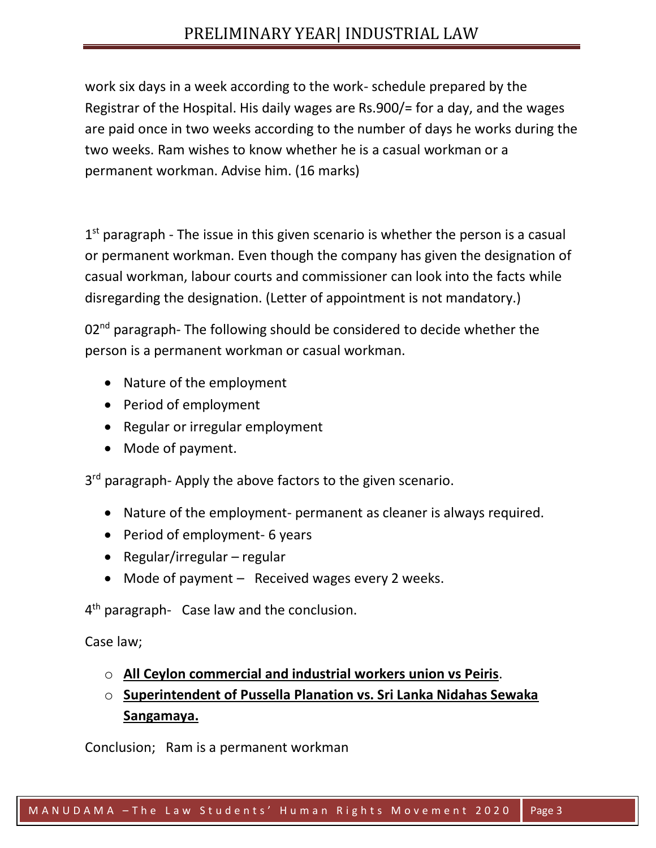# PRELIMINARY YEAR| INDUSTRIAL LAW

work six days in a week according to the work- schedule prepared by the Registrar of the Hospital. His daily wages are Rs.900/= for a day, and the wages are paid once in two weeks according to the number of days he works during the two weeks. Ram wishes to know whether he is a casual workman or a permanent workman. Advise him. (16 marks)

1<sup>st</sup> paragraph - The issue in this given scenario is whether the person is a casual or permanent workman. Even though the company has given the designation of casual workman, labour courts and commissioner can look into the facts while disregarding the designation. (Letter of appointment is not mandatory.)

02<sup>nd</sup> paragraph- The following should be considered to decide whether the person is a permanent workman or casual workman.

- Nature of the employment
- Period of employment
- Regular or irregular employment
- Mode of payment.

3<sup>rd</sup> paragraph- Apply the above factors to the given scenario.

- Nature of the employment- permanent as cleaner is always required.
- Period of employment- 6 years
- Regular/irregular regular
- Mode of payment Received wages every 2 weeks.

4<sup>th</sup> paragraph- Case law and the conclusion.

Case law;

- o **All Ceylon commercial and industrial workers union vs Peiris**.
- o **Superintendent of Pussella Planation vs. Sri Lanka Nidahas Sewaka Sangamaya.**

Conclusion; Ram is a permanent workman